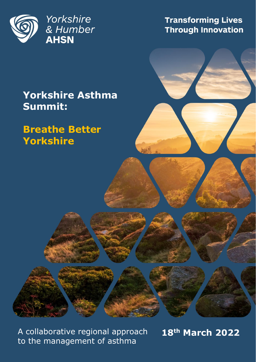

**Transforming Lives Through Innovation** 

## **Yorkshire Asthma Summit:**

## **Breathe Better Yorkshire**

A collaborative regional approach **18th March 2022** to the management of asthma